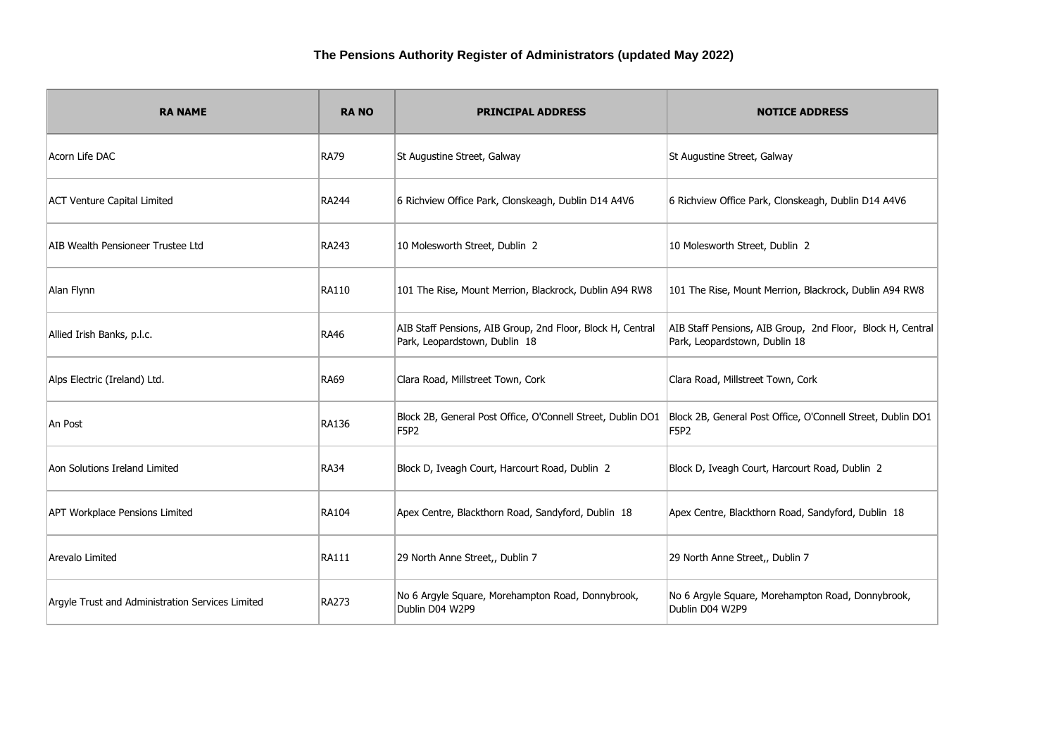| <b>RA NAME</b>                                   | <b>RANO</b>  | <b>PRINCIPAL ADDRESS</b>                                                                    | <b>NOTICE ADDRESS</b>                                                                       |
|--------------------------------------------------|--------------|---------------------------------------------------------------------------------------------|---------------------------------------------------------------------------------------------|
| Acorn Life DAC                                   | <b>RA79</b>  | St Augustine Street, Galway                                                                 | St Augustine Street, Galway                                                                 |
| <b>ACT Venture Capital Limited</b>               | <b>RA244</b> | 6 Richview Office Park, Clonskeagh, Dublin D14 A4V6                                         | 6 Richview Office Park, Clonskeagh, Dublin D14 A4V6                                         |
| AIB Wealth Pensioneer Trustee Ltd                | RA243        | 10 Molesworth Street, Dublin 2                                                              | 10 Molesworth Street, Dublin 2                                                              |
| Alan Flynn                                       | RA110        | 101 The Rise, Mount Merrion, Blackrock, Dublin A94 RW8                                      | 101 The Rise, Mount Merrion, Blackrock, Dublin A94 RW8                                      |
| Allied Irish Banks, p.l.c.                       | <b>RA46</b>  | AIB Staff Pensions, AIB Group, 2nd Floor, Block H, Central<br>Park, Leopardstown, Dublin 18 | AIB Staff Pensions, AIB Group, 2nd Floor, Block H, Central<br>Park, Leopardstown, Dublin 18 |
| Alps Electric (Ireland) Ltd.                     | <b>RA69</b>  | Clara Road, Millstreet Town, Cork                                                           | Clara Road, Millstreet Town, Cork                                                           |
| An Post                                          | <b>RA136</b> | Block 2B, General Post Office, O'Connell Street, Dublin DO1<br><b>F5P2</b>                  | Block 2B, General Post Office, O'Connell Street, Dublin DO1<br><b>F5P2</b>                  |
| Aon Solutions Ireland Limited                    | <b>RA34</b>  | Block D, Iveagh Court, Harcourt Road, Dublin 2                                              | Block D, Iveagh Court, Harcourt Road, Dublin 2                                              |
| <b>APT Workplace Pensions Limited</b>            | <b>RA104</b> | Apex Centre, Blackthorn Road, Sandyford, Dublin 18                                          | Apex Centre, Blackthorn Road, Sandyford, Dublin 18                                          |
| Arevalo Limited                                  | <b>RA111</b> | 29 North Anne Street,, Dublin 7                                                             | 29 North Anne Street,, Dublin 7                                                             |
| Argyle Trust and Administration Services Limited | <b>RA273</b> | No 6 Argyle Square, Morehampton Road, Donnybrook,<br>Dublin D04 W2P9                        | No 6 Argyle Square, Morehampton Road, Donnybrook,<br>Dublin D04 W2P9                        |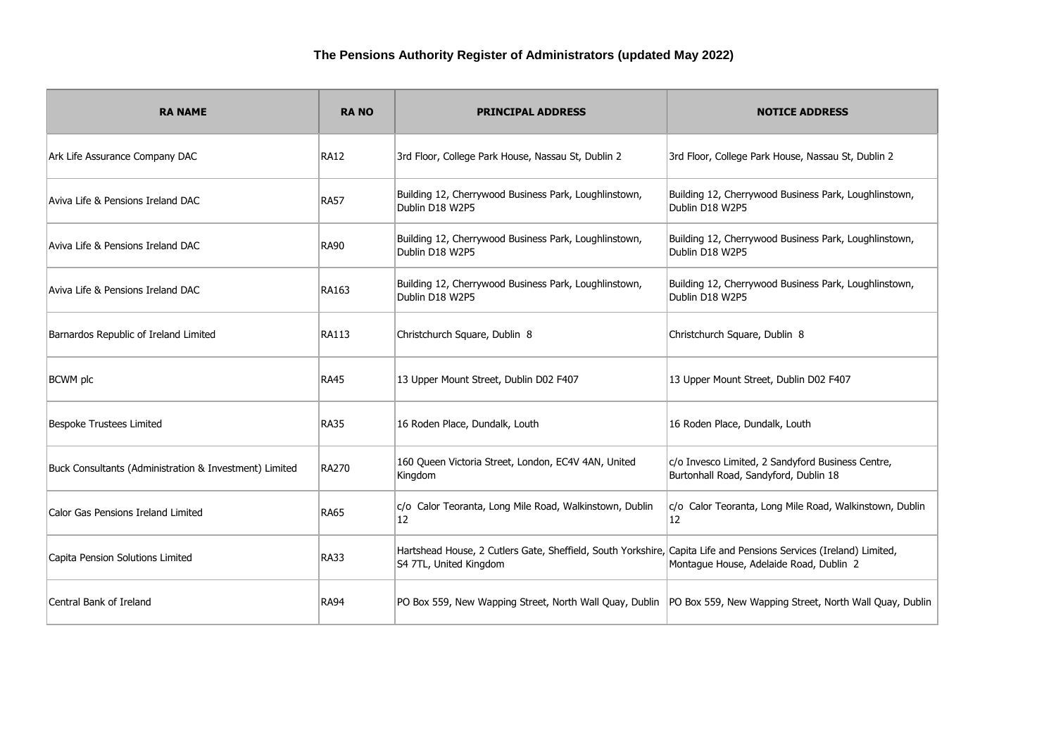| <b>RA NAME</b>                                         | <b>RANO</b>  | <b>PRINCIPAL ADDRESS</b>                                                                                                                    | <b>NOTICE ADDRESS</b>                                                                      |
|--------------------------------------------------------|--------------|---------------------------------------------------------------------------------------------------------------------------------------------|--------------------------------------------------------------------------------------------|
| Ark Life Assurance Company DAC                         | <b>RA12</b>  | 3rd Floor, College Park House, Nassau St, Dublin 2                                                                                          | 3rd Floor, College Park House, Nassau St, Dublin 2                                         |
| Aviva Life & Pensions Ireland DAC                      | <b>RA57</b>  | Building 12, Cherrywood Business Park, Loughlinstown,<br>Dublin D18 W2P5                                                                    | Building 12, Cherrywood Business Park, Loughlinstown,<br>Dublin D18 W2P5                   |
| Aviva Life & Pensions Ireland DAC                      | <b>RA90</b>  | Building 12, Cherrywood Business Park, Loughlinstown,<br>Dublin D18 W2P5                                                                    | Building 12, Cherrywood Business Park, Loughlinstown,<br>Dublin D18 W2P5                   |
| Aviva Life & Pensions Ireland DAC                      | RA163        | Building 12, Cherrywood Business Park, Loughlinstown,<br>Dublin D18 W2P5                                                                    | Building 12, Cherrywood Business Park, Loughlinstown,<br>Dublin D18 W2P5                   |
| Barnardos Republic of Ireland Limited                  | <b>RA113</b> | Christchurch Square, Dublin 8                                                                                                               | Christchurch Square, Dublin 8                                                              |
| <b>BCWM</b> plc                                        | <b>RA45</b>  | 13 Upper Mount Street, Dublin D02 F407                                                                                                      | 13 Upper Mount Street, Dublin D02 F407                                                     |
| Bespoke Trustees Limited                               | <b>RA35</b>  | 16 Roden Place, Dundalk, Louth                                                                                                              | 16 Roden Place, Dundalk, Louth                                                             |
| Buck Consultants (Administration & Investment) Limited | <b>RA270</b> | 160 Queen Victoria Street, London, EC4V 4AN, United<br>Kingdom                                                                              | c/o Invesco Limited, 2 Sandyford Business Centre,<br>Burtonhall Road, Sandyford, Dublin 18 |
| Calor Gas Pensions Ireland Limited                     | RA65         | c/o Calor Teoranta, Long Mile Road, Walkinstown, Dublin<br>12                                                                               | c/o Calor Teoranta, Long Mile Road, Walkinstown, Dublin<br>12                              |
| Capita Pension Solutions Limited                       | <b>RA33</b>  | Hartshead House, 2 Cutlers Gate, Sheffield, South Yorkshire, Capita Life and Pensions Services (Ireland) Limited,<br>S4 7TL, United Kingdom | Montague House, Adelaide Road, Dublin 2                                                    |
| Central Bank of Ireland                                | RA94         | PO Box 559, New Wapping Street, North Wall Quay, Dublin  PO Box 559, New Wapping Street, North Wall Quay, Dublin                            |                                                                                            |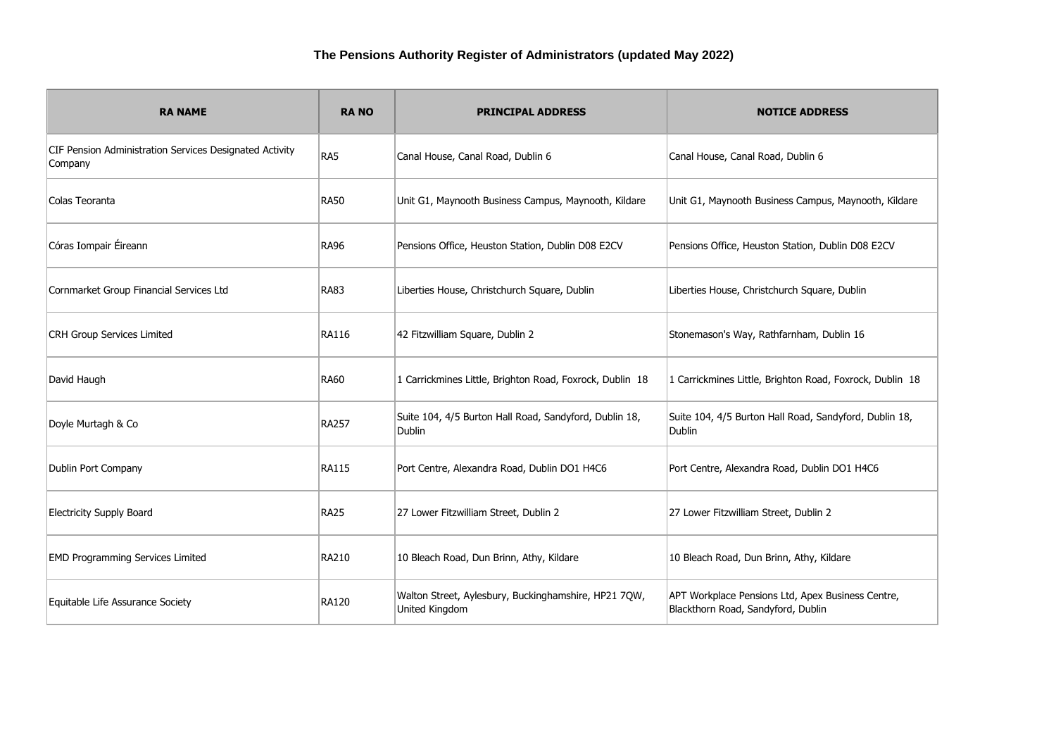| <b>RA NAME</b>                                                     | <b>RANO</b>  | <b>PRINCIPAL ADDRESS</b>                                                | <b>NOTICE ADDRESS</b>                                                                   |
|--------------------------------------------------------------------|--------------|-------------------------------------------------------------------------|-----------------------------------------------------------------------------------------|
| CIF Pension Administration Services Designated Activity<br>Company | RA5          | Canal House, Canal Road, Dublin 6                                       | Canal House, Canal Road, Dublin 6                                                       |
| Colas Teoranta                                                     | <b>RA50</b>  | Unit G1, Maynooth Business Campus, Maynooth, Kildare                    | Unit G1, Maynooth Business Campus, Maynooth, Kildare                                    |
| Córas Iompair Éireann                                              | <b>RA96</b>  | Pensions Office, Heuston Station, Dublin D08 E2CV                       | Pensions Office, Heuston Station, Dublin D08 E2CV                                       |
| Cornmarket Group Financial Services Ltd                            | <b>RA83</b>  | Liberties House, Christchurch Square, Dublin                            | Liberties House, Christchurch Square, Dublin                                            |
| <b>CRH Group Services Limited</b>                                  | <b>RA116</b> | 42 Fitzwilliam Square, Dublin 2                                         | Stonemason's Way, Rathfarnham, Dublin 16                                                |
| David Haugh                                                        | <b>RA60</b>  | 1 Carrickmines Little, Brighton Road, Foxrock, Dublin 18                | 1 Carrickmines Little, Brighton Road, Foxrock, Dublin 18                                |
| Doyle Murtagh & Co                                                 | <b>RA257</b> | Suite 104, 4/5 Burton Hall Road, Sandyford, Dublin 18,<br><b>Dublin</b> | Suite 104, 4/5 Burton Hall Road, Sandyford, Dublin 18,<br>Dublin                        |
| Dublin Port Company                                                | <b>RA115</b> | Port Centre, Alexandra Road, Dublin DO1 H4C6                            | Port Centre, Alexandra Road, Dublin DO1 H4C6                                            |
| <b>Electricity Supply Board</b>                                    | <b>RA25</b>  | 27 Lower Fitzwilliam Street, Dublin 2                                   | 27 Lower Fitzwilliam Street, Dublin 2                                                   |
| <b>EMD Programming Services Limited</b>                            | <b>RA210</b> | 10 Bleach Road, Dun Brinn, Athy, Kildare                                | 10 Bleach Road, Dun Brinn, Athy, Kildare                                                |
| Equitable Life Assurance Society                                   | <b>RA120</b> | Walton Street, Aylesbury, Buckinghamshire, HP21 7QW,<br>United Kingdom  | APT Workplace Pensions Ltd, Apex Business Centre,<br>Blackthorn Road, Sandyford, Dublin |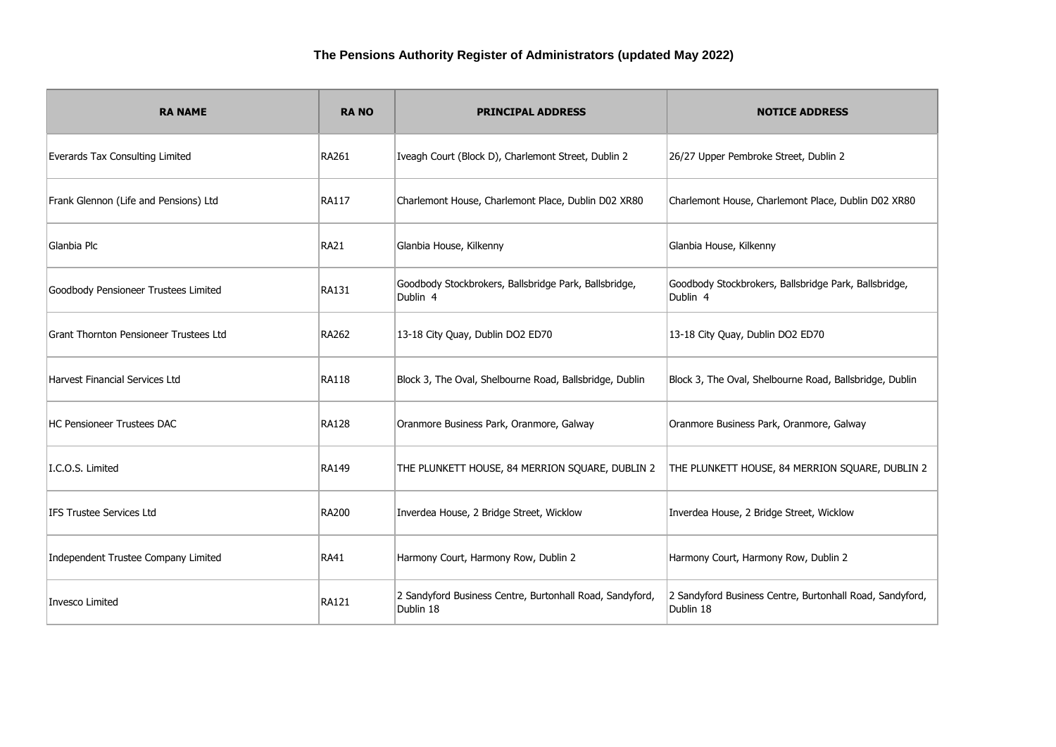| <b>RA NAME</b>                         | <b>RANO</b>  | <b>PRINCIPAL ADDRESS</b>                                              | <b>NOTICE ADDRESS</b>                                                 |
|----------------------------------------|--------------|-----------------------------------------------------------------------|-----------------------------------------------------------------------|
| Everards Tax Consulting Limited        | <b>RA261</b> | Iveagh Court (Block D), Charlemont Street, Dublin 2                   | 26/27 Upper Pembroke Street, Dublin 2                                 |
| Frank Glennon (Life and Pensions) Ltd  | <b>RA117</b> | Charlemont House, Charlemont Place, Dublin D02 XR80                   | Charlemont House, Charlemont Place, Dublin D02 XR80                   |
| Glanbia Plc                            | <b>RA21</b>  | Glanbia House, Kilkenny                                               | Glanbia House, Kilkenny                                               |
| Goodbody Pensioneer Trustees Limited   | <b>RA131</b> | Goodbody Stockbrokers, Ballsbridge Park, Ballsbridge,<br>Dublin 4     | Goodbody Stockbrokers, Ballsbridge Park, Ballsbridge,<br>Dublin 4     |
| Grant Thornton Pensioneer Trustees Ltd | <b>RA262</b> | 13-18 City Quay, Dublin DO2 ED70                                      | 13-18 City Quay, Dublin DO2 ED70                                      |
| Harvest Financial Services Ltd         | <b>RA118</b> | Block 3, The Oval, Shelbourne Road, Ballsbridge, Dublin               | Block 3, The Oval, Shelbourne Road, Ballsbridge, Dublin               |
| <b>HC Pensioneer Trustees DAC</b>      | <b>RA128</b> | Oranmore Business Park, Oranmore, Galway                              | Oranmore Business Park, Oranmore, Galway                              |
| I.C.O.S. Limited                       | <b>RA149</b> | THE PLUNKETT HOUSE, 84 MERRION SQUARE, DUBLIN 2                       | THE PLUNKETT HOUSE, 84 MERRION SQUARE, DUBLIN 2                       |
| IFS Trustee Services Ltd               | <b>RA200</b> | Inverdea House, 2 Bridge Street, Wicklow                              | Inverdea House, 2 Bridge Street, Wicklow                              |
| Independent Trustee Company Limited    | RA41         | Harmony Court, Harmony Row, Dublin 2                                  | Harmony Court, Harmony Row, Dublin 2                                  |
| Invesco Limited                        | <b>RA121</b> | 2 Sandyford Business Centre, Burtonhall Road, Sandyford,<br>Dublin 18 | 2 Sandyford Business Centre, Burtonhall Road, Sandyford,<br>Dublin 18 |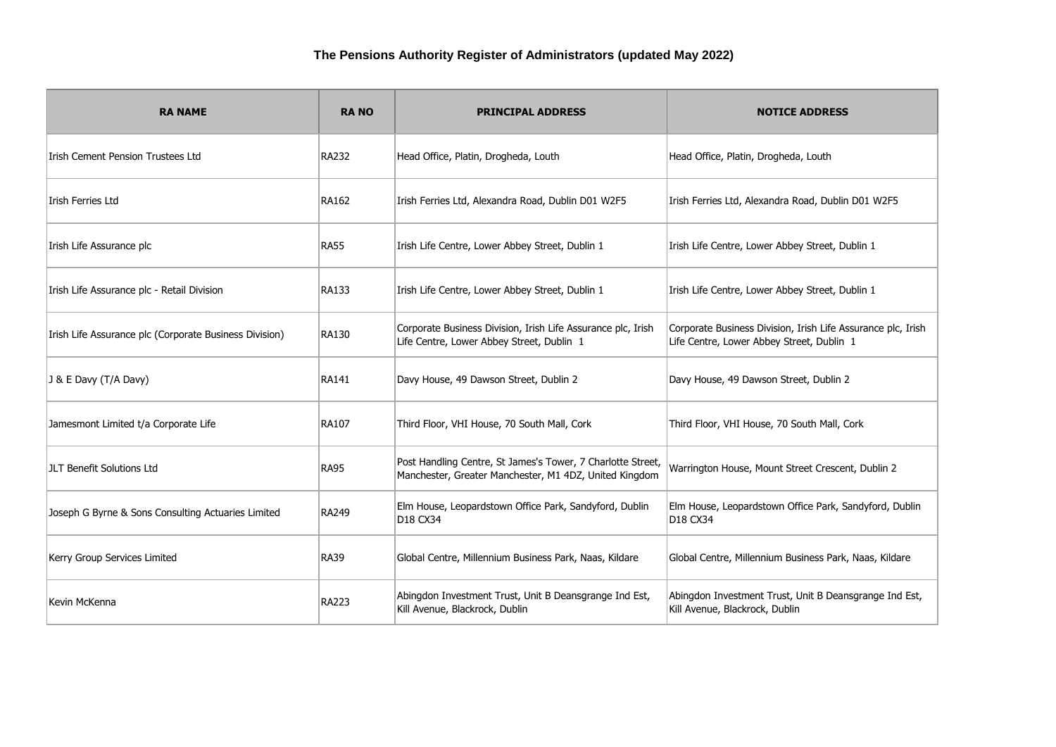| <b>RA NAME</b>                                         | <b>RANO</b>  | <b>PRINCIPAL ADDRESS</b>                                                                                              | <b>NOTICE ADDRESS</b>                                                                                     |
|--------------------------------------------------------|--------------|-----------------------------------------------------------------------------------------------------------------------|-----------------------------------------------------------------------------------------------------------|
| Irish Cement Pension Trustees Ltd                      | <b>RA232</b> | Head Office, Platin, Drogheda, Louth                                                                                  | Head Office, Platin, Drogheda, Louth                                                                      |
| Irish Ferries Ltd                                      | RA162        | Irish Ferries Ltd, Alexandra Road, Dublin D01 W2F5                                                                    | Irish Ferries Ltd, Alexandra Road, Dublin D01 W2F5                                                        |
| Irish Life Assurance plc                               | <b>RA55</b>  | Irish Life Centre, Lower Abbey Street, Dublin 1                                                                       | Irish Life Centre, Lower Abbey Street, Dublin 1                                                           |
| Irish Life Assurance plc - Retail Division             | <b>RA133</b> | Irish Life Centre, Lower Abbey Street, Dublin 1                                                                       | Irish Life Centre, Lower Abbey Street, Dublin 1                                                           |
| Irish Life Assurance plc (Corporate Business Division) | <b>RA130</b> | Corporate Business Division, Irish Life Assurance plc, Irish<br>Life Centre, Lower Abbey Street, Dublin 1             | Corporate Business Division, Irish Life Assurance plc, Irish<br>Life Centre, Lower Abbey Street, Dublin 1 |
| J & E Davy (T/A Davy)                                  | RA141        | Davy House, 49 Dawson Street, Dublin 2                                                                                | Davy House, 49 Dawson Street, Dublin 2                                                                    |
| Jamesmont Limited t/a Corporate Life                   | RA107        | Third Floor, VHI House, 70 South Mall, Cork                                                                           | Third Floor, VHI House, 70 South Mall, Cork                                                               |
| JLT Benefit Solutions Ltd                              | <b>RA95</b>  | Post Handling Centre, St James's Tower, 7 Charlotte Street,<br>Manchester, Greater Manchester, M1 4DZ, United Kingdom | Warrington House, Mount Street Crescent, Dublin 2                                                         |
| Joseph G Byrne & Sons Consulting Actuaries Limited     | RA249        | Elm House, Leopardstown Office Park, Sandyford, Dublin<br>D18 CX34                                                    | Elm House, Leopardstown Office Park, Sandyford, Dublin<br>D <sub>18</sub> C <sub>X</sub> 34               |
| Kerry Group Services Limited                           | <b>RA39</b>  | Global Centre, Millennium Business Park, Naas, Kildare                                                                | Global Centre, Millennium Business Park, Naas, Kildare                                                    |
| Kevin McKenna                                          | <b>RA223</b> | Abingdon Investment Trust, Unit B Deansgrange Ind Est,<br>Kill Avenue, Blackrock, Dublin                              | Abingdon Investment Trust, Unit B Deansgrange Ind Est,<br>Kill Avenue, Blackrock, Dublin                  |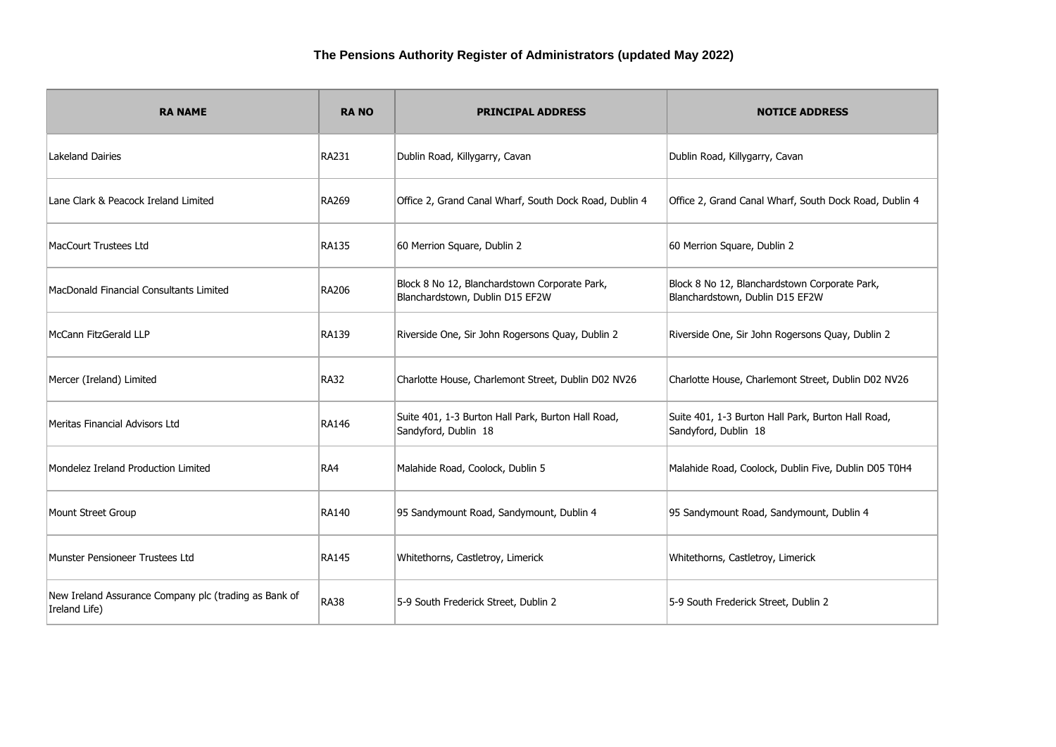| <b>RA NAME</b>                                                         | <b>RANO</b>  | <b>PRINCIPAL ADDRESS</b>                                                         | <b>NOTICE ADDRESS</b>                                                            |
|------------------------------------------------------------------------|--------------|----------------------------------------------------------------------------------|----------------------------------------------------------------------------------|
| <b>Lakeland Dairies</b>                                                | RA231        | Dublin Road, Killygarry, Cavan                                                   | Dublin Road, Killygarry, Cavan                                                   |
| Lane Clark & Peacock Ireland Limited                                   | <b>RA269</b> | Office 2, Grand Canal Wharf, South Dock Road, Dublin 4                           | Office 2, Grand Canal Wharf, South Dock Road, Dublin 4                           |
| MacCourt Trustees Ltd                                                  | <b>RA135</b> | 60 Merrion Square, Dublin 2                                                      | 60 Merrion Square, Dublin 2                                                      |
| MacDonald Financial Consultants Limited                                | <b>RA206</b> | Block 8 No 12, Blanchardstown Corporate Park,<br>Blanchardstown, Dublin D15 EF2W | Block 8 No 12, Blanchardstown Corporate Park,<br>Blanchardstown, Dublin D15 EF2W |
| McCann FitzGerald LLP                                                  | <b>RA139</b> | Riverside One, Sir John Rogersons Quay, Dublin 2                                 | Riverside One, Sir John Rogersons Quay, Dublin 2                                 |
| Mercer (Ireland) Limited                                               | <b>RA32</b>  | Charlotte House, Charlemont Street, Dublin D02 NV26                              | Charlotte House, Charlemont Street, Dublin D02 NV26                              |
| Meritas Financial Advisors Ltd                                         | <b>RA146</b> | Suite 401, 1-3 Burton Hall Park, Burton Hall Road,<br>Sandyford, Dublin 18       | Suite 401, 1-3 Burton Hall Park, Burton Hall Road,<br>Sandyford, Dublin 18       |
| Mondelez Ireland Production Limited                                    | RA4          | Malahide Road, Coolock, Dublin 5                                                 | Malahide Road, Coolock, Dublin Five, Dublin D05 T0H4                             |
| Mount Street Group                                                     | <b>RA140</b> | 95 Sandymount Road, Sandymount, Dublin 4                                         | 95 Sandymount Road, Sandymount, Dublin 4                                         |
| Munster Pensioneer Trustees Ltd                                        | <b>RA145</b> | Whitethorns, Castletroy, Limerick                                                | Whitethorns, Castletroy, Limerick                                                |
| New Ireland Assurance Company plc (trading as Bank of<br>Ireland Life) | <b>RA38</b>  | 5-9 South Frederick Street, Dublin 2                                             | 5-9 South Frederick Street, Dublin 2                                             |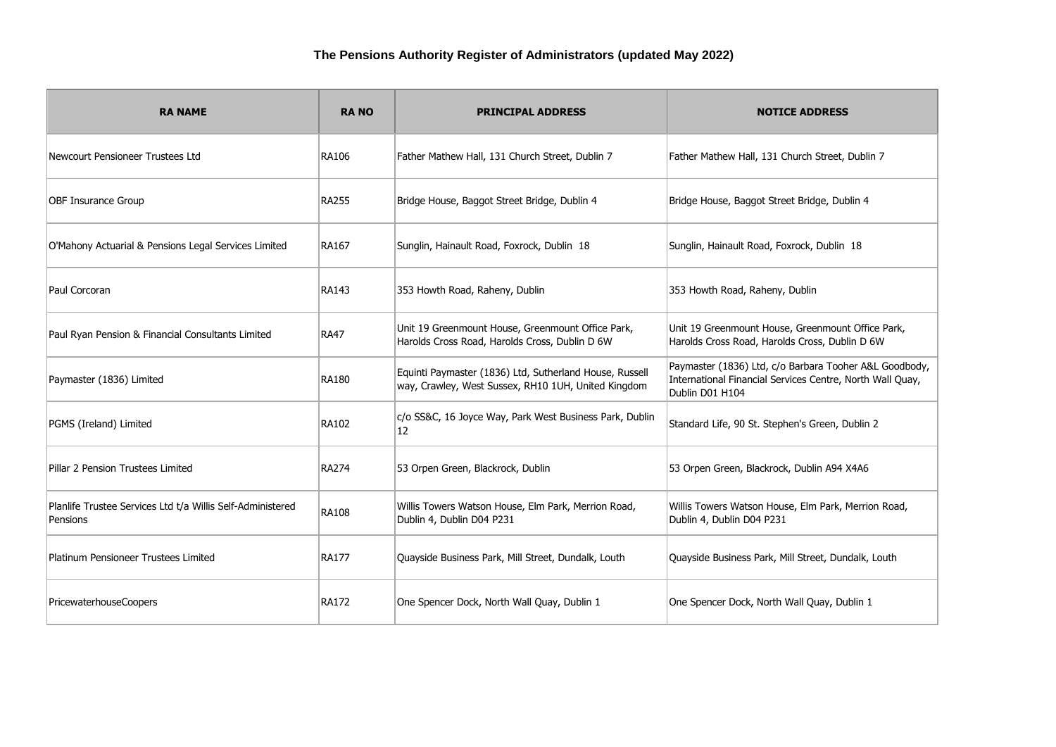| <b>RA NAME</b>                                                         | <b>RANO</b>  | <b>PRINCIPAL ADDRESS</b>                                                                                       | <b>NOTICE ADDRESS</b>                                                                                                                  |
|------------------------------------------------------------------------|--------------|----------------------------------------------------------------------------------------------------------------|----------------------------------------------------------------------------------------------------------------------------------------|
| Newcourt Pensioneer Trustees Ltd                                       | <b>RA106</b> | Father Mathew Hall, 131 Church Street, Dublin 7                                                                | Father Mathew Hall, 131 Church Street, Dublin 7                                                                                        |
| <b>OBF Insurance Group</b>                                             | <b>RA255</b> | Bridge House, Baggot Street Bridge, Dublin 4                                                                   | Bridge House, Baggot Street Bridge, Dublin 4                                                                                           |
| O'Mahony Actuarial & Pensions Legal Services Limited                   | <b>RA167</b> | Sunglin, Hainault Road, Foxrock, Dublin 18                                                                     | Sunglin, Hainault Road, Foxrock, Dublin 18                                                                                             |
| Paul Corcoran                                                          | RA143        | 353 Howth Road, Raheny, Dublin                                                                                 | 353 Howth Road, Raheny, Dublin                                                                                                         |
| Paul Ryan Pension & Financial Consultants Limited                      | <b>RA47</b>  | Unit 19 Greenmount House, Greenmount Office Park,<br>Harolds Cross Road, Harolds Cross, Dublin D 6W            | Unit 19 Greenmount House, Greenmount Office Park,<br>Harolds Cross Road, Harolds Cross, Dublin D 6W                                    |
| Paymaster (1836) Limited                                               | <b>RA180</b> | Equinti Paymaster (1836) Ltd, Sutherland House, Russell<br>way, Crawley, West Sussex, RH10 1UH, United Kingdom | Paymaster (1836) Ltd, c/o Barbara Tooher A&L Goodbody,<br>International Financial Services Centre, North Wall Quay,<br>Dublin D01 H104 |
| PGMS (Ireland) Limited                                                 | <b>RA102</b> | c/o SS&C, 16 Joyce Way, Park West Business Park, Dublin<br>12                                                  | Standard Life, 90 St. Stephen's Green, Dublin 2                                                                                        |
| Pillar 2 Pension Trustees Limited                                      | <b>RA274</b> | 53 Orpen Green, Blackrock, Dublin                                                                              | 53 Orpen Green, Blackrock, Dublin A94 X4A6                                                                                             |
| Planlife Trustee Services Ltd t/a Willis Self-Administered<br>Pensions | <b>RA108</b> | Willis Towers Watson House, Elm Park, Merrion Road,<br>Dublin 4, Dublin D04 P231                               | Willis Towers Watson House, Elm Park, Merrion Road,<br>Dublin 4, Dublin D04 P231                                                       |
| Platinum Pensioneer Trustees Limited                                   | <b>RA177</b> | Quayside Business Park, Mill Street, Dundalk, Louth                                                            | Quayside Business Park, Mill Street, Dundalk, Louth                                                                                    |
| PricewaterhouseCoopers                                                 | <b>RA172</b> | One Spencer Dock, North Wall Quay, Dublin 1                                                                    | One Spencer Dock, North Wall Quay, Dublin 1                                                                                            |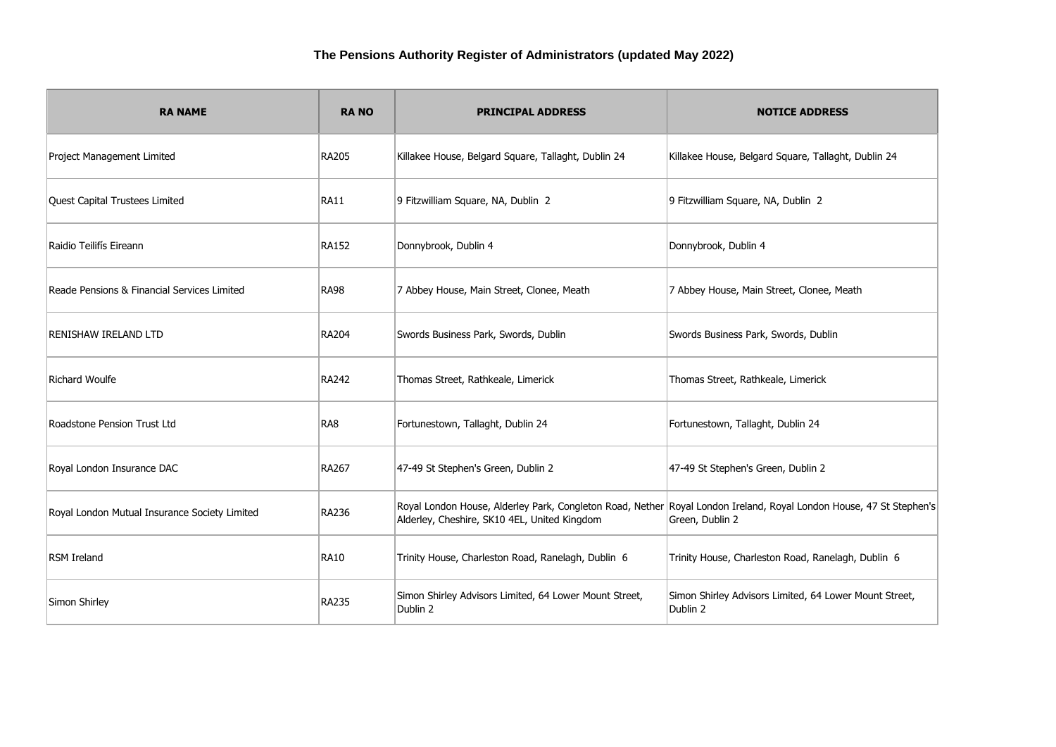| <b>RA NAME</b>                                | <b>RANO</b>  | <b>PRINCIPAL ADDRESS</b>                                                                                                                                            | <b>NOTICE ADDRESS</b>                                              |
|-----------------------------------------------|--------------|---------------------------------------------------------------------------------------------------------------------------------------------------------------------|--------------------------------------------------------------------|
| Project Management Limited                    | RA205        | Killakee House, Belgard Square, Tallaght, Dublin 24                                                                                                                 | Killakee House, Belgard Square, Tallaght, Dublin 24                |
| Quest Capital Trustees Limited                | <b>RA11</b>  | 9 Fitzwilliam Square, NA, Dublin 2                                                                                                                                  | 9 Fitzwilliam Square, NA, Dublin 2                                 |
| Raidio Teilifís Eireann                       | RA152        | Donnybrook, Dublin 4                                                                                                                                                | Donnybrook, Dublin 4                                               |
| Reade Pensions & Financial Services Limited   | <b>RA98</b>  | 7 Abbey House, Main Street, Clonee, Meath                                                                                                                           | 7 Abbey House, Main Street, Clonee, Meath                          |
| <b>RENISHAW IRELAND LTD</b>                   | RA204        | Swords Business Park, Swords, Dublin                                                                                                                                | Swords Business Park, Swords, Dublin                               |
| Richard Woulfe                                | RA242        | Thomas Street, Rathkeale, Limerick                                                                                                                                  | Thomas Street, Rathkeale, Limerick                                 |
| Roadstone Pension Trust Ltd                   | RA8          | Fortunestown, Tallaght, Dublin 24                                                                                                                                   | Fortunestown, Tallaght, Dublin 24                                  |
| Royal London Insurance DAC                    | RA267        | 47-49 St Stephen's Green, Dublin 2                                                                                                                                  | 47-49 St Stephen's Green, Dublin 2                                 |
| Royal London Mutual Insurance Society Limited | <b>RA236</b> | Royal London House, Alderley Park, Congleton Road, Nether Royal London Ireland, Royal London House, 47 St Stephen's<br>Alderley, Cheshire, SK10 4EL, United Kingdom | Green, Dublin 2                                                    |
| <b>RSM Ireland</b>                            | <b>RA10</b>  | Trinity House, Charleston Road, Ranelagh, Dublin 6                                                                                                                  | Trinity House, Charleston Road, Ranelagh, Dublin 6                 |
| Simon Shirley                                 | <b>RA235</b> | Simon Shirley Advisors Limited, 64 Lower Mount Street,<br>Dublin 2                                                                                                  | Simon Shirley Advisors Limited, 64 Lower Mount Street,<br>Dublin 2 |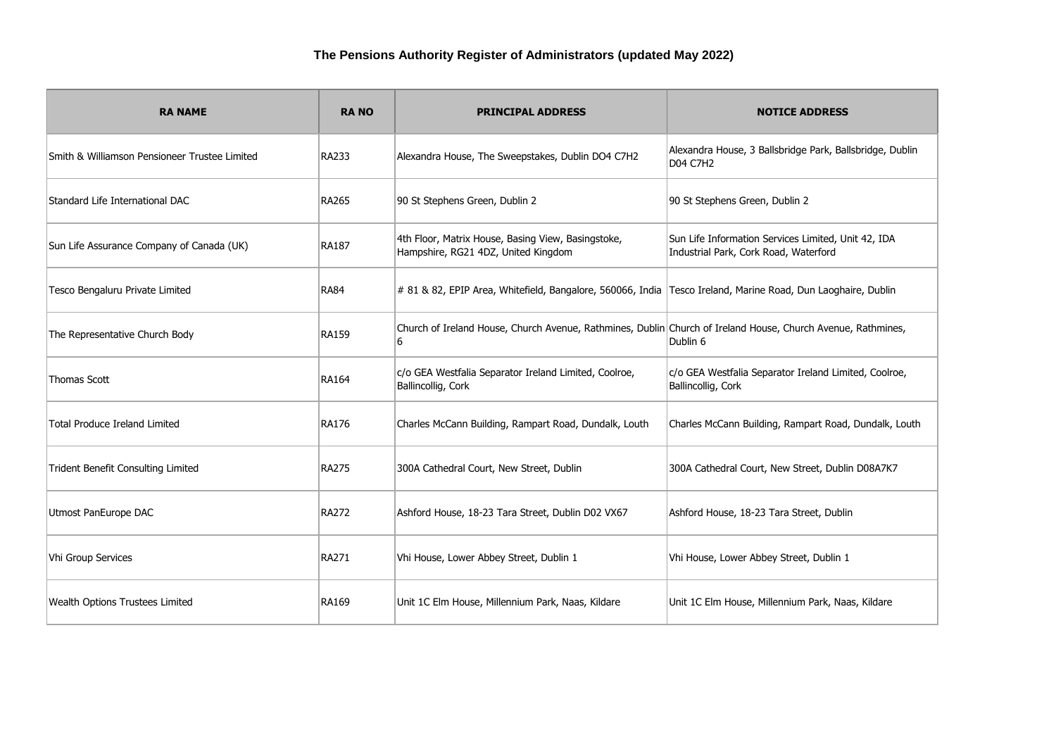| <b>RA NAME</b>                                | <b>RANO</b>  | <b>PRINCIPAL ADDRESS</b>                                                                                          | <b>NOTICE ADDRESS</b>                                                                        |
|-----------------------------------------------|--------------|-------------------------------------------------------------------------------------------------------------------|----------------------------------------------------------------------------------------------|
| Smith & Williamson Pensioneer Trustee Limited | RA233        | Alexandra House, The Sweepstakes, Dublin DO4 C7H2                                                                 | Alexandra House, 3 Ballsbridge Park, Ballsbridge, Dublin<br><b>D04 C7H2</b>                  |
| Standard Life International DAC               | <b>RA265</b> | 90 St Stephens Green, Dublin 2                                                                                    | 90 St Stephens Green, Dublin 2                                                               |
| Sun Life Assurance Company of Canada (UK)     | <b>RA187</b> | 4th Floor, Matrix House, Basing View, Basingstoke,<br>Hampshire, RG21 4DZ, United Kingdom                         | Sun Life Information Services Limited, Unit 42, IDA<br>Industrial Park, Cork Road, Waterford |
| Tesco Bengaluru Private Limited               | <b>RA84</b>  | # 81 & 82, EPIP Area, Whitefield, Bangalore, 560066, India Tesco Ireland, Marine Road, Dun Laoghaire, Dublin      |                                                                                              |
| The Representative Church Body                | <b>RA159</b> | Church of Ireland House, Church Avenue, Rathmines, Dublin Church of Ireland House, Church Avenue, Rathmines,<br>6 | Dublin 6                                                                                     |
| Thomas Scott                                  | <b>RA164</b> | c/o GEA Westfalia Separator Ireland Limited, Coolroe,<br>Ballincollig, Cork                                       | c/o GEA Westfalia Separator Ireland Limited, Coolroe,<br>Ballincollig, Cork                  |
| Total Produce Ireland Limited                 | <b>RA176</b> | Charles McCann Building, Rampart Road, Dundalk, Louth                                                             | Charles McCann Building, Rampart Road, Dundalk, Louth                                        |
| Trident Benefit Consulting Limited            | <b>RA275</b> | 300A Cathedral Court, New Street, Dublin                                                                          | 300A Cathedral Court, New Street, Dublin D08A7K7                                             |
| Utmost PanEurope DAC                          | <b>RA272</b> | Ashford House, 18-23 Tara Street, Dublin D02 VX67                                                                 | Ashford House, 18-23 Tara Street, Dublin                                                     |
| Vhi Group Services                            | <b>RA271</b> | Vhi House, Lower Abbey Street, Dublin 1                                                                           | Vhi House, Lower Abbey Street, Dublin 1                                                      |
| Wealth Options Trustees Limited               | RA169        | Unit 1C Elm House, Millennium Park, Naas, Kildare                                                                 | Unit 1C Elm House, Millennium Park, Naas, Kildare                                            |